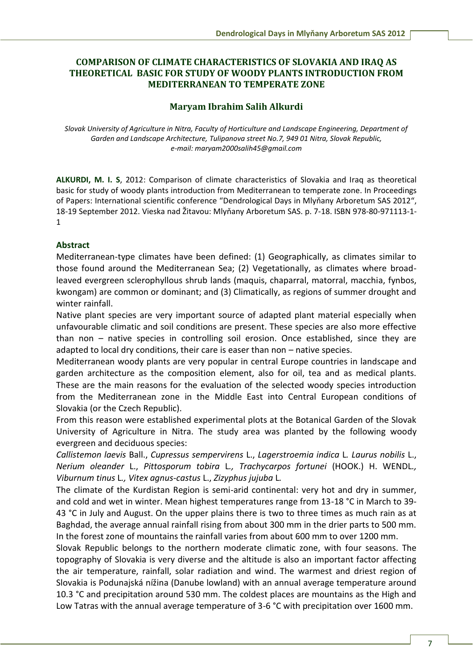## **COMPARISON OF CLIMATE CHARACTERISTICS OF SLOVAKIA AND IRAQ AS THEORETICAL BASIC FOR STUDY OF WOODY PLANTS INTRODUCTION FROM MEDITERRANEAN TO TEMPERATE ZONE**

## **Maryam Ibrahim Salih Alkurdi**

*Slovak University of Agriculture in Nitra, Faculty of Horticulture and Landscape Engineering, Department of Garden and Landscape Architecture, Tulipanova street No.7, 949 01 Nitra, Slovak Republic, e-mail: maryam2000salih45@gmail.com* 

**ALKURDI, M. I. S**, 2012: Comparison of climate characteristics of Slovakia and Iraq as theoretical basic for study of woody plants introduction from Mediterranean to temperate zone. In Proceedings of Papers: International scientific conference "Dendrological Days in Mlyňany Arboretum SAS 2012", 18-19 September 2012. Vieska nad Žitavou: Mlyňany Arboretum SAS. p. 7-18. ISBN 978-80-971113-1- 1

## **Abstract**

Mediterranean-type climates have been defined: (1) Geographically, as climates similar to those found around the Mediterranean Sea; (2) Vegetationally, as climates where broadleaved evergreen sclerophyllous shrub lands (maquis, chaparral, matorral, macchia, fynbos, kwongam) are common or dominant; and (3) Climatically, as regions of summer drought and winter rainfall.

Native plant species are very important source of adapted plant material especially when unfavourable climatic and soil conditions are present. These species are also more effective than non – native species in controlling soil erosion. Once established, since they are adapted to local dry conditions, their care is easer than non – native species.

Mediterranean woody plants are very popular in central Europe countries in landscape and garden architecture as the composition element, also for oil, tea and as medical plants. These are the main reasons for the evaluation of the selected woody species introduction from the Mediterranean zone in the Middle East into Central European conditions of Slovakia (or the Czech Republic).

From this reason were established experimental plots at the Botanical Garden of the Slovak University of Agriculture in Nitra. The study area was planted by the following woody evergreen and deciduous species:

*Callistemon laevis* Ball., *Cupressus sempervirens* L., *Lagerstroemia indica* L*. Laurus nobilis* L., *Nerium oleander* L., *Pittosporum tobira* L*., Trachycarpos fortunei* (HOOK.) H. WENDL*., Viburnum tinus* L*., Vitex agnus-castus* L., *Zizyphus jujuba* L*.* 

The climate of the Kurdistan Region is semi-arid continental: very hot and dry in summer, and cold and wet in winter. Mean highest temperatures range from 13-18 °C in March to 39- 43 °C in July and August. On the upper plains there is two to three times as much rain as at Baghdad, the average annual rainfall rising from about 300 mm in the drier parts to 500 mm. In the forest zone of mountains the rainfall varies from about 600 mm to over 1200 mm.

Slovak Republic belongs to the northern moderate climatic zone, with four seasons. The topography of Slovakia is very diverse and the altitude is also an important factor affecting the air temperature, rainfall, solar radiation and wind. The warmest and driest region of Slovakia is Podunajská nížina (Danube lowland) with an annual average temperature around 10.3 °C and precipitation around 530 mm. The coldest places are mountains as the High and Low Tatras with the annual average temperature of 3-6 °C with precipitation over 1600 mm.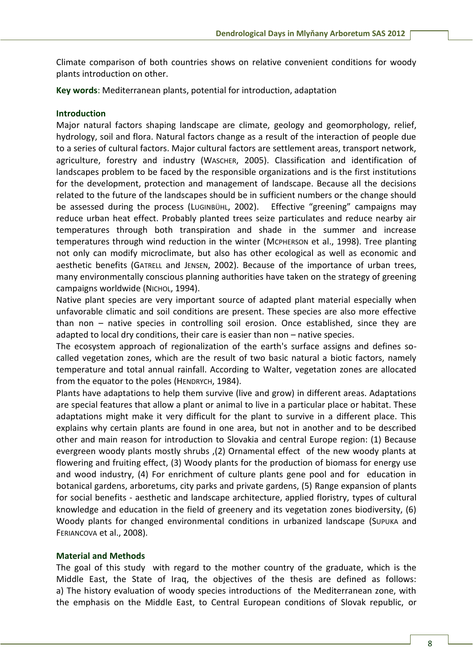Climate comparison of both countries shows on relative convenient conditions for woody plants introduction on other.

**Key words**: Mediterranean plants, potential for introduction, adaptation

#### **Introduction**

Major natural factors shaping landscape are climate, geology and geomorphology, relief, hydrology, soil and flora. Natural factors change as a result of the interaction of people due to a series of cultural factors. Major cultural factors are settlement areas, transport network, agriculture, forestry and industry (WASCHER, 2005). Classification and identification of landscapes problem to be faced by the responsible organizations and is the first institutions for the development, protection and management of landscape. Because all the decisions related to the future of the landscapes should be in sufficient numbers or the change should be assessed during the process (LUGINBÜHL, 2002). Effective "greening" campaigns may reduce urban heat effect. Probably planted trees seize particulates and reduce nearby air temperatures through both transpiration and shade in the summer and increase temperatures through wind reduction in the winter (MCPHERSON et al., 1998). Tree planting not only can modify microclimate, but also has other ecological as well as economic and aesthetic benefits (GATRELL and JENSEN, 2002). Because of the importance of urban trees, many environmentally conscious planning authorities have taken on the strategy of greening campaigns worldwide (NICHOL, 1994).

Native plant species are very important source of adapted plant material especially when unfavorable climatic and soil conditions are present. These species are also more effective than non – native species in controlling soil erosion. Once established, since they are adapted to local dry conditions, their care is easier than non – native species.

The ecosystem approach of regionalization of the earth's surface assigns and defines socalled vegetation zones, which are the result of two basic natural a biotic factors, namely temperature and total annual rainfall. According to Walter, vegetation zones are allocated from the equator to the poles (HENDRYCH, 1984).

Plants have adaptations to help them survive (live and grow) in different areas. Adaptations are special features that allow a plant or animal to live in a particular place or habitat. These adaptations might make it very difficult for the plant to survive in a different place. This explains why certain plants are found in one area, but not in another and to be described other and main reason for introduction to Slovakia and central Europe region: (1) Because evergreen woody plants mostly shrubs ,(2) Ornamental effect of the new woody plants at flowering and fruiting effect, (3) Woody plants for the production of biomass for energy use and wood industry, (4) For enrichment of culture plants gene pool and for education in botanical gardens, arboretums, city parks and private gardens, (5) Range expansion of plants for social benefits - aesthetic and landscape architecture, applied floristry, types of cultural knowledge and education in the field of greenery and its vegetation zones biodiversity, (6) Woody plants for changed environmental conditions in urbanized landscape (SUPUKA and FERIANCOVA et al., 2008).

### **Material and Methods**

The goal of this study with regard to the mother country of the graduate, which is the Middle East, the State of Iraq, the objectives of the thesis are defined as follows: a) The history evaluation of woody species introductions of the Mediterranean zone, with the emphasis on the Middle East, to Central European conditions of Slovak republic, or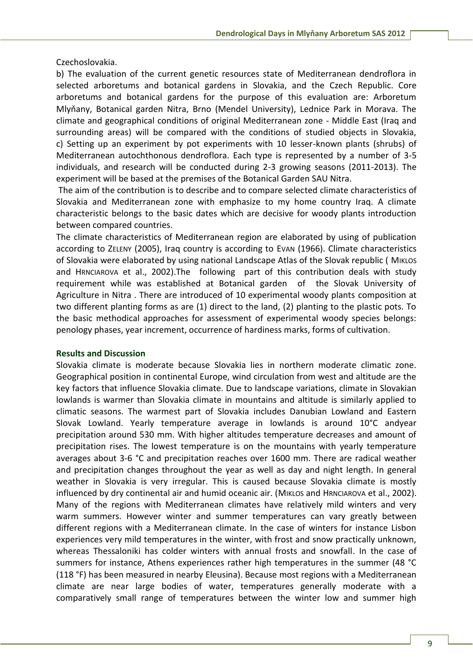Czechoslovakia.

b) The evaluation of the current genetic resources state of Mediterranean dendroflora in selected arboretums and botanical gardens in Slovakia, and the Czech Republic. Core arboretums and botanical gardens for the purpose of this evaluation are: Arboretum Mlyňany, Botanical garden Nitra, Brno (Mendel University), Lednice Park in Morava. The climate and geographical conditions of original Mediterranean zone - Middle East (Iraq and surrounding areas) will be compared with the conditions of studied objects in Slovakia, c) Setting up an experiment by pot experiments with 10 lesser-known plants (shrubs) of Mediterranean autochthonous dendroflora. Each type is represented by a number of 3-5 individuals, and research will be conducted during 2-3 growing seasons (2011-2013). The experiment will be based at the premises of the Botanical Garden SAU Nitra.

 The aim of the contribution is to describe and to compare selected climate characteristics of Slovakia and Mediterranean zone with emphasize to my home country Iraq. A climate characteristic belongs to the basic dates which are decisive for woody plants introduction between compared countries.

The climate characteristics of Mediterranean region are elaborated by using of publication according to ZELENY (2005), Iraq country is according to EVAN (1966). Climate characteristics of Slovakia were elaborated by using national Landscape Atlas of the Slovak republic ( MIKLOS and HRNCIAROVA et al., 2002).The following part of this contribution deals with study requirement while was established at Botanical garden of the Slovak University of Agriculture in Nitra . There are introduced of 10 experimental woody plants composition at two different planting forms as are (1) direct to the land, (2) planting to the plastic pots. To the basic methodical approaches for assessment of experimental woody species belongs: penology phases, year increment, occurrence of hardiness marks, forms of cultivation.

### **Results and Discussion**

Slovakia climate is moderate because Slovakia lies in northern moderate climatic zone. Geographical position in continental Europe, wind circulation from west and altitude are the key factors that influence Slovakia climate. Due to landscape variations, climate in Slovakian lowlands is warmer than Slovakia climate in mountains and altitude is similarly applied to climatic seasons. The warmest part of Slovakia includes Danubian Lowland and Eastern Slovak Lowland. Yearly temperature average in lowlands is around 10°C andyear precipitation around 530 mm. With higher altitudes temperature decreases and amount of precipitation rises. The lowest temperature is on the mountains with yearly temperature averages about 3-6 °C and precipitation reaches over 1600 mm. There are radical weather and precipitation changes throughout the year as well as day and night length. In general weather in Slovakia is very irregular. This is caused because Slovakia climate is mostly influenced by dry continental air and humid oceanic air. (MIKLOS and HRNCIAROVA et al., 2002). Many of the regions with Mediterranean climates have relatively mild winters and very warm summers. However winter and summer temperatures can vary greatly between different regions with a Mediterranean climate. In the case of winters for instance Lisbon experiences very mild temperatures in the winter, with frost and snow practically unknown, whereas Thessaloniki has colder winters with annual frosts and snowfall. In the case of summers for instance, Athens experiences rather high temperatures in the summer (48 °C (118 °F) has been measured in nearby Eleusina). Because most regions with a Mediterranean climate are near large bodies of water, temperatures generally moderate with a comparatively small range of temperatures between the winter low and summer high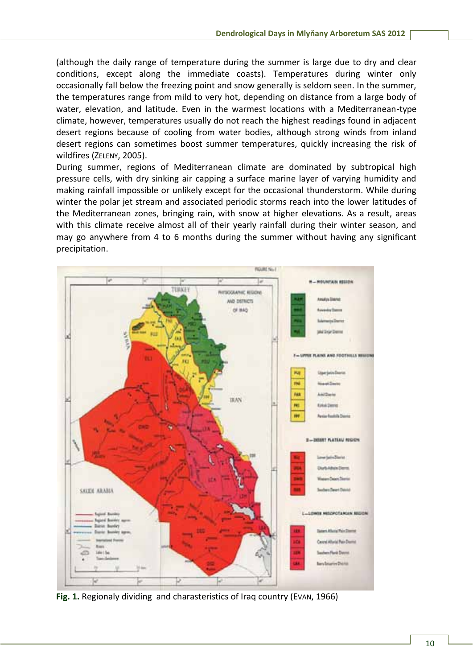(although the daily range of temperature during the summer is large due to dry and clear conditions, except along the immediate coasts). Temperatures during winter only occasionally fall below the freezing point and snow generally is seldom seen. In the summer, the temperatures range from mild to very hot, depending on distance from a large body of water, elevation, and latitude. Even in the warmest locations with a Mediterranean-type climate, however, temperatures usually do not reach the highest readings found in adjacent desert regions because of cooling from water bodies, although strong winds from inland desert regions can sometimes boost summer temperatures, quickly increasing the risk of wildfires (ZELENY, 2005).

During summer, regions of Mediterranean climate are dominated by subtropical high pressure cells, with dry sinking air capping a surface marine layer of varying humidity and making rainfall impossible or unlikely except for the occasional thunderstorm. While during winter the polar jet stream and associated periodic storms reach into the lower latitudes of the Mediterranean zones, bringing rain, with snow at higher elevations. As a result, areas with this climate receive almost all of their yearly rainfall during their winter season, and may go anywhere from 4 to 6 months during the summer without having any significant precipitation.



**Fig. 1.** Regionaly dividing and charasteristics of Iraq country (EVAN, 1966)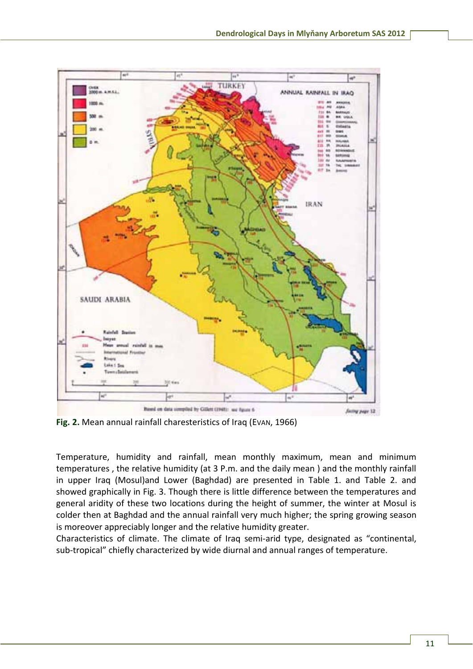

**Fig. 2.** Mean annual rainfall charesteristics of Iraq (EVAN, 1966)

Temperature, humidity and rainfall, mean monthly maximum, mean and minimum temperatures , the relative humidity (at 3 P.m. and the daily mean ) and the monthly rainfall in upper Iraq (Mosul)and Lower (Baghdad) are presented in Table 1. and Table 2. and showed graphically in Fig. 3. Though there is little difference between the temperatures and general aridity of these two locations during the height of summer, the winter at Mosul is colder then at Baghdad and the annual rainfall very much higher; the spring growing season is moreover appreciably longer and the relative humidity greater.

Characteristics of climate. The climate of Iraq semi-arid type, designated as "continental, sub-tropical" chiefly characterized by wide diurnal and annual ranges of temperature.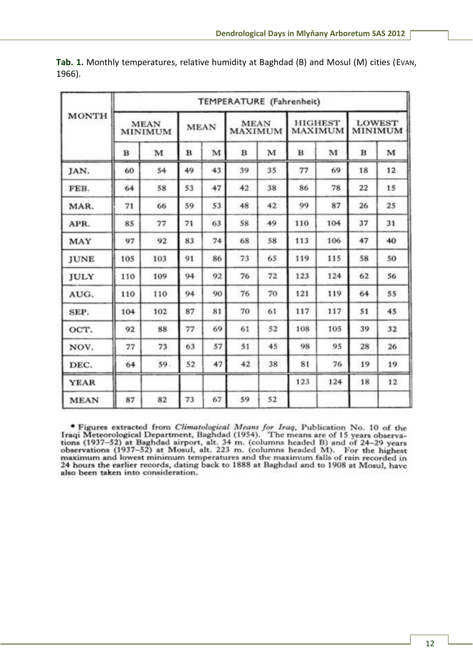| <b>MONTH</b> | TEMPERATURE (Fahrenheit) |     |             |    |                               |    |                                  |              |                          |    |  |
|--------------|--------------------------|-----|-------------|----|-------------------------------|----|----------------------------------|--------------|--------------------------|----|--|
|              | <b>MEAN</b><br>MINIMUM   |     | <b>MEAN</b> |    | <b>MEAN</b><br><b>MAXIMUM</b> |    | <b>HIGHEST</b><br><b>MAXIMUM</b> |              | <b>LOWEST</b><br>MINIMUM |    |  |
|              | в                        | M   | в           | M  | в                             | M  | $\bf{B}$                         | $\mathbf{M}$ | $\bf{B}$                 | M  |  |
| JAN.         | 60                       | 54  | 49          | 43 | 39                            | 35 | 77                               | 69           | 18                       | 12 |  |
| FEB.         | 64                       | 58  | 53          | 47 | 42                            | 38 | 86                               | 78           | 22                       | 15 |  |
| MAR.         | 71                       | 66  | 59          | 53 | 48                            | 42 | 99                               | 87           | 26                       | 25 |  |
| APR.         | 85                       | 77  | 71          | 63 | 58                            | 49 | 110                              | 104          | 37                       | 31 |  |
| MAY          | 97                       | 92  | 83          | 74 | 68                            | 58 | 113                              | 106          | 47                       | 40 |  |
| <b>JUNE</b>  | 105                      | 103 | 91          | 86 | 73                            | 65 | 119                              | 115          | 58                       | 50 |  |
| JULY         | 110                      | 109 | 94          | 92 | 76                            | 72 | 123                              | 124          | 62                       | 56 |  |
| AUG.         | 110                      | 110 | 94          | 90 | 76                            | 70 | 121                              | 119          | 64                       | 55 |  |
| SEP.         | 104                      | 102 | 87          | 81 | 70                            | 61 | 117                              | 117          | 51                       | 45 |  |
| OCT.         | 92                       | 88  | 77          | 69 | 61                            | 52 | 108                              | 105          | 39                       | 32 |  |
| NOV.         | 77                       | 73  | 63          | 57 | 51                            | 45 | 98                               | 95           | 28                       | 26 |  |
| DEC.         | 64                       | 59. | 52          | 47 | 42                            | 38 | 81                               | 76           | 19                       | 19 |  |
| YEAR         |                          |     |             |    |                               |    | 123                              | 124          | 18                       | 12 |  |
| <b>MEAN</b>  | 87                       | 82  | 73          | 67 | 59                            | 52 |                                  |              |                          |    |  |

**Tab. 1.** Monthly temperatures, relative humidity at Baghdad (B) and Mosul (M) cities (EVAN, 1966).

• Figures extracted from *Climatological Means for Iraq*, Publication No. 10 of the Iraqi Meteorological Department, Baghdad (1954). The means are of 15 years observations (1937–52) at Baghdad airport, alt. 34 m. (columns 24 hours the earlier records, dating back to 1888 at Baghdad and to 1908 at Mosul, have also been taken into consideration.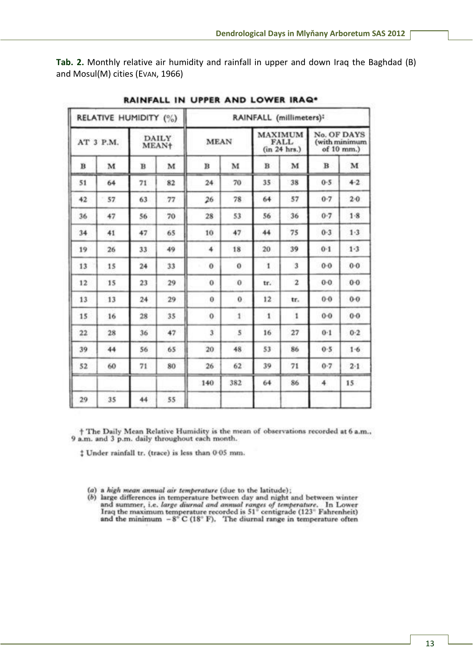**Tab. 2.** Monthly relative air humidity and rainfall in upper and down Iraq the Baghdad (B) and Mosul(M) cities (EVAN, 1966)

|    | RELATIVE HUMIDITY (%) |                         |                       |              |              | RAINFALL (millimeters): |                                               |                                            |         |
|----|-----------------------|-------------------------|-----------------------|--------------|--------------|-------------------------|-----------------------------------------------|--------------------------------------------|---------|
|    | AT 3 P.M.             |                         | <b>DAILY</b><br>MEAN+ | <b>MEAN</b>  |              |                         | <b>MAXIMUM</b><br><b>FALL</b><br>(in 24 hrs.) | No. OF DAYS<br>(with minimum<br>of 10 mm.) |         |
| в  | M                     | $\overline{\mathbf{B}}$ | M                     | в            | M            | B                       | M                                             | $\bf{B}$                                   | M       |
| 51 | 64                    | 71                      | 82                    | 24           | 70           | 35                      | 38                                            | 0.5                                        | $4 - 2$ |
| 42 | 57                    | 63                      | 77                    | 26           | 78           | 64                      | 57                                            | 0.7                                        | $2 - 0$ |
| 36 | 47                    | 56                      | 70                    | 28           | 53           | 56                      | 36                                            | 0.7                                        | $1-8$   |
| 34 | 41                    | 47                      | 65                    | 10           | 47           | 44                      | 75                                            | $0-3$                                      | $1-3$   |
| 19 | 26                    | 33                      | 49                    | 4            | 18           | 20                      | 39                                            | $0 - 1$                                    | 1.3     |
| 13 | 15                    | 24                      | 33                    | $\theta$     | $\bf{o}$     | 1                       | 3                                             | $0 - 0$                                    | $0 - 0$ |
| 12 | 15                    | 23                      | 29                    | $\Omega$     | $\bf{0}$     | tr.                     | $\overline{\mathbf{2}}$                       | 0.0                                        | $0-0$   |
| 13 | 13                    | 24                      | 29                    | $\theta$     | $\bf{0}$     | 12                      | tr.                                           | $0 - 0$                                    | $0-0$   |
| 15 | 16                    | 28                      | 35                    | $\mathbf{0}$ | $\mathbf{1}$ | 1                       | $\mathbf{1}$                                  | $0 - 0$                                    | $0 - 0$ |
| 22 | 28                    | 36                      | 47                    | 3            | 5            | 16                      | 27                                            | $0 - 1$                                    | $0-2$   |
| 39 | 44                    | 56                      | 65                    | 20           | 48           | 53                      | 86                                            | $0 - 5$                                    | 1.6     |
| 52 | 60                    | 71                      | 80                    | 26           | 62           | 39                      | 71                                            | $0 - 7$                                    | 2.1     |
|    |                       |                         |                       | 140          | 382          | 64                      | 86                                            | 4                                          | 15      |
| 29 | 35                    | 44                      | 55                    |              |              |                         |                                               |                                            |         |

RAINFALL IN UPPER AND LOWER IRAQ\*

† The Daily Mean Relative Humidity is the mean of observations recorded at 6 a.m., 9 a.m. and 3 p.m. daily throughout each month.

 $$$  Under rainfall tr. (trace) is less than 0.05 mm.

- (a) a high mean annual air temperature (due to the latitude);
- (b) large differences in temperature between day and night and between winter and summer, i.e. *large diurnal and annual ranges of temperature*. In Lower<br>Iraq the maximum temperature recorded is  $51^{\circ}$  centigrade (123<sup>°</sup> Fahrenheit)<br>and the minimum  $-8^{\circ}$  C (18<sup>°</sup> F). The diurnal range in tempe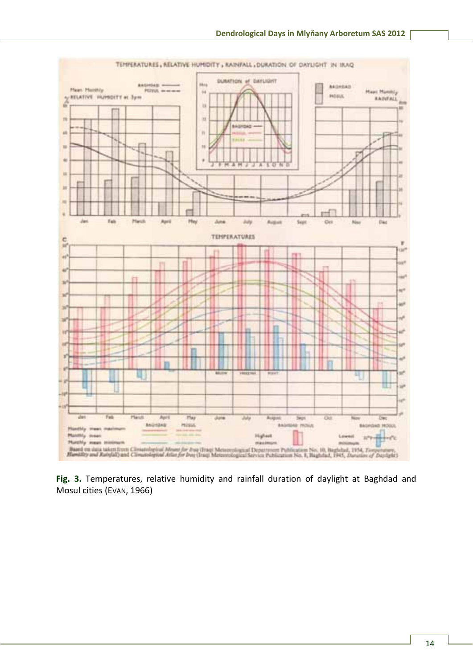

**Fig. 3.** Temperatures, relative humidity and rainfall duration of daylight at Baghdad and Mosul cities (EVAN, 1966)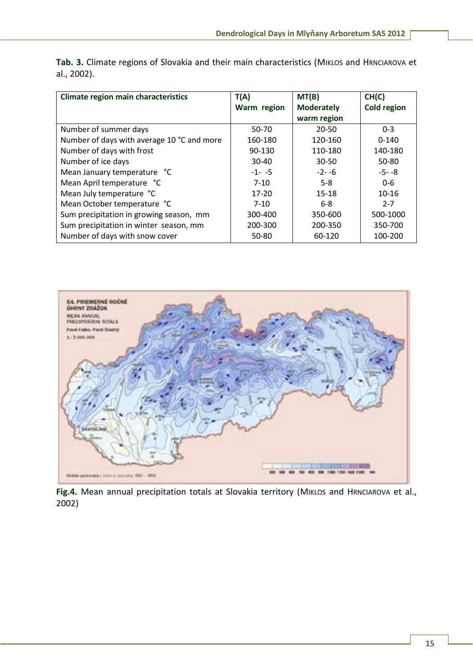| <b>Climate region main characteristics</b> | T(A)        | MT(B)             | CH(C)              |  |
|--------------------------------------------|-------------|-------------------|--------------------|--|
|                                            | Warm region | <b>Moderately</b> | <b>Cold region</b> |  |
|                                            |             | warm region       |                    |  |
| Number of summer days                      | 50-70       | $20 - 50$         | $0 - 3$            |  |
| Number of days with average 10 °C and more | 160-180     | 120-160           | $0 - 140$          |  |
| Number of days with frost                  | 90-130      | 110-180           | 140-180            |  |
| Number of ice days                         | $30 - 40$   | $30 - 50$         | 50-80              |  |
| Mean January temperature °C                | $-1 - -5$   | $-2 - -6$         | $-5 - -8$          |  |
| Mean April temperature °C                  | $7 - 10$    | $5-8$             | $0 - 6$            |  |
| Mean July temperature °C                   | $17 - 20$   | $15 - 18$         | $10 - 16$          |  |
| Mean October temperature °C                | $7 - 10$    | $6 - 8$           | $2 - 7$            |  |
| Sum precipitation in growing season, mm    | 300-400     | 350-600           | 500-1000           |  |
| Sum precipitation in winter season, mm     | 200-300     | 200-350           | 350-700            |  |
| Number of days with snow cover             | 50-80       | 60-120            | 100-200            |  |

Tab. 3. Climate regions of Slovakia and their main characteristics (MIKLOS and HRNCIAROVA et al., 2002).



Fig.4. Mean annual precipitation totals at Slovakia territory (MIKLOS and HRNCIAROVA et al., 2002)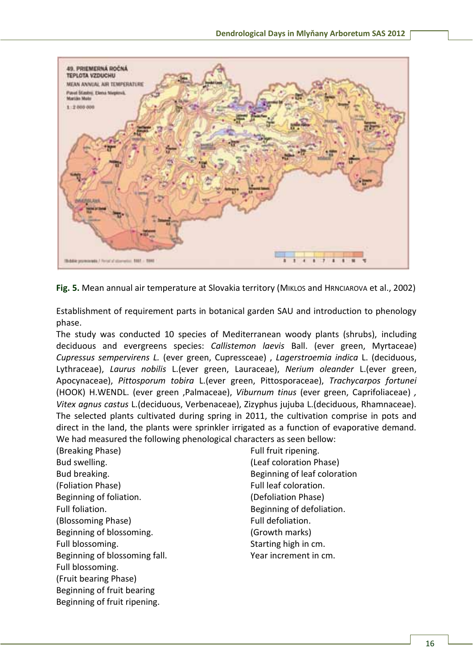

**Fig. 5.** Mean annual air temperature at Slovakia territory (MIKLOS and HRNCIAROVA et al., 2002)

Establishment of requirement parts in botanical garden SAU and introduction to phenology phase.

The study was conducted 10 species of Mediterranean woody plants (shrubs), including deciduous and evergreens species: *Callistemon laevis* Ball. (ever green, Myrtaceae) *Cupressus sempervirens L.* (ever green, Cupressceae) , *Lagerstroemia indica* L. (deciduous, Lythraceae), *Laurus nobilis* L.(ever green, Lauraceae), *Nerium oleander* L.(ever green, Apocynaceae), *Pittosporum tobira* L.(ever green, Pittosporaceae), *Trachycarpos fortunei* (HOOK) H.WENDL. (ever green ,Palmaceae), *Viburnum tinus* (ever green, Caprifoliaceae) *, Vitex agnus castus* L.(deciduous, Verbenaceae), Zizyphus jujuba L.(deciduous, Rhamnaceae). The selected plants cultivated during spring in 2011, the cultivation comprise in pots and direct in the land, the plants were sprinkler irrigated as a function of evaporative demand. We had measured the following phenological characters as seen bellow:

(Breaking Phase) Bud swelling. Bud breaking. (Foliation Phase) Beginning of foliation. Full foliation. (Blossoming Phase) Beginning of blossoming. Full blossoming. Beginning of blossoming fall. Full blossoming. (Fruit bearing Phase) Beginning of fruit bearing Beginning of fruit ripening.

Full fruit ripening. (Leaf coloration Phase) Beginning of leaf coloration Full leaf coloration. (Defoliation Phase) Beginning of defoliation. Full defoliation. (Growth marks) Starting high in cm. Year increment in cm.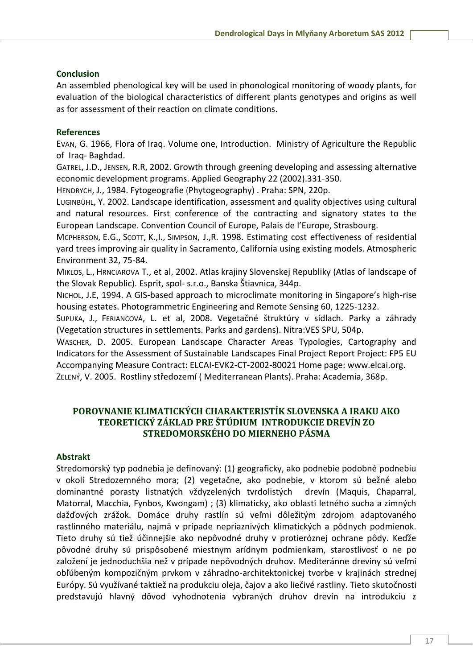## **Conclusion**

An assembled phenological key will be used in phonological monitoring of woody plants, for evaluation of the biological characteristics of different plants genotypes and origins as well as for assessment of their reaction on climate conditions.

### **References**

EVAN, G. 1966, Flora of Iraq. Volume one, Introduction. Ministry of Agriculture the Republic of Iraq- Baghdad.

GATREL, J.D., JENSEN, R.R, 2002. Growth through greening developing and assessing alternative economic development programs. Applied Geography 22 (2002).331-350.

HENDRYCH, J., 1984. Fytogeografie (Phytogeography) . Praha: SPN, 220p.

LUGINBÜHL, Y. 2002. Landscape identification, assessment and quality objectives using cultural and natural resources. First conference of the contracting and signatory states to the European Landscape. Convention Council of Europe, Palais de l'Europe, Strasbourg.

MCPHERSON, E.G., SCOTT, K.,I., SIMPSON, J.,R. 1998. Estimating cost effectiveness of residential yard trees improving air quality in Sacramento, California using existing models. Atmospheric Environment 32, 75-84.

MIKLOS, L., HRNCIAROVA T., et al, 2002. Atlas krajiny Slovenskej Republiky (Atlas of landscape of the Slovak Republic). Esprit, spol- s.r.o., Banska Štiavnica, 344p.

NICHOL, J.E, 1994. A GIS-based approach to microclimate monitoring in Singapore's high-rise housing estates. Photogrammetric Engineering and Remote Sensing 60, 1225-1232.

SUPUKA, J., FERIANCOVÁ, L. et al, 2008. Vegetačné štruktúry v sídlach. Parky a záhrady (Vegetation structures in settlements. Parks and gardens). Nitra:VES SPU, 504p.

WASCHER, D. 2005. European Landscape Character Areas Typologies, Cartography and Indicators for the Assessment of Sustainable Landscapes Final Project Report Project: FP5 EU Accompanying Measure Contract: ELCAI-EVK2-CT-2002-80021 Home page: www.elcai.org. ZELENÝ, V. 2005. Rostliny středozemí ( Mediterranean Plants). Praha: Academia, 368p.

# **POROVNANIE KLIMATICKÝCH CHARAKTERISTÍK SLOVENSKA A IRAKU AKO TEORETICKÝ ZÁKLAD PRE ŠTÚDIUM INTRODUKCIE DREVÍN ZO STREDOMORSKÉHO DO MIERNEHO PÁSMA**

## **Abstrakt**

Stredomorský typ podnebia je definovaný: (1) geograficky, ako podnebie podobné podnebiu v okolí Stredozemného mora; (2) vegetačne, ako podnebie, v ktorom sú bežné alebo dominantné porasty listnatých vždyzelených tvrdolistých drevín (Maquis, Chaparral, Matorral, Macchia, Fynbos, Kwongam) ; (3) klimaticky, ako oblasti letného sucha a zimných dažďových zrážok. Domáce druhy rastlín sú veľmi dôležitým zdrojom adaptovaného rastlinného materiálu, najmä v prípade nepriaznivých klimatických a pôdnych podmienok. Tieto druhy sú tiež účinnejšie ako nepôvodné druhy v protieróznej ochrane pôdy. Keďže pôvodné druhy sú prispôsobené miestnym arídnym podmienkam, starostlivosť o ne po založení je jednoduchšia než v prípade nepôvodných druhov. Mediteránne dreviny sú veľmi obľúbeným kompozičným prvkom v záhradno-architektonickej tvorbe v krajinách strednej Európy. Sú využívané taktiež na produkciu oleja, čajov a ako liečivé rastliny. Tieto skutočnosti predstavujú hlavný dôvod vyhodnotenia vybraných druhov drevín na introdukciu z